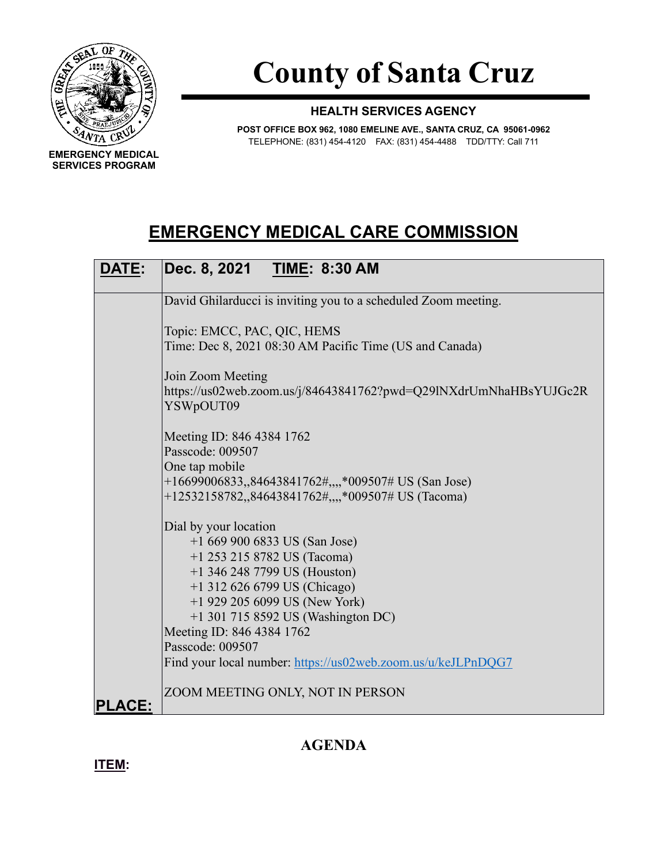

**SERVICES PROGRAM**

**County of Santa Cruz**

## **HEALTH SERVICES AGENCY**

**POST OFFICE BOX 962, 1080 EMELINE AVE., SANTA CRUZ, CA 95061-0962** TELEPHONE: (831) 454-4120 FAX: (831) 454-4488 TDD/TTY: Call 711

## **EMERGENCY MEDICAL CARE COMMISSION**

| <b>DATE:</b>  | Dec. 8, 2021 TIME: 8:30 AM                                                                                               |  |  |
|---------------|--------------------------------------------------------------------------------------------------------------------------|--|--|
|               | David Ghilarducci is inviting you to a scheduled Zoom meeting.                                                           |  |  |
|               | Topic: EMCC, PAC, QIC, HEMS<br>Time: Dec 8, 2021 08:30 AM Pacific Time (US and Canada)                                   |  |  |
|               | Join Zoom Meeting<br>https://us02web.zoom.us/j/84643841762?pwd=Q29lNXdrUmNhaHBsYUJGc2R<br>YSWpOUT09                      |  |  |
|               | Meeting ID: 846 4384 1762<br>Passcode: 009507<br>One tap mobile                                                          |  |  |
|               | +16699006833,,84643841762#,,,,*009507# US (San Jose)<br>+12532158782,,84643841762#,,,,*009507# US (Tacoma)               |  |  |
|               | Dial by your location<br>$+16699006833$ US (San Jose)<br>$+1$ 253 215 8782 US (Tacoma)<br>$+1$ 346 248 7799 US (Houston) |  |  |
|               | +1 312 626 6799 US (Chicago)<br>$+1$ 929 205 6099 US (New York)                                                          |  |  |
|               | +1 301 715 8592 US (Washington DC)<br>Meeting ID: 846 4384 1762<br>Passcode: 009507                                      |  |  |
|               | Find your local number: https://us02web.zoom.us/u/keJLPnDQG7                                                             |  |  |
| <b>PLACE:</b> | ZOOM MEETING ONLY, NOT IN PERSON                                                                                         |  |  |

## **AGENDA**

**ITEM:**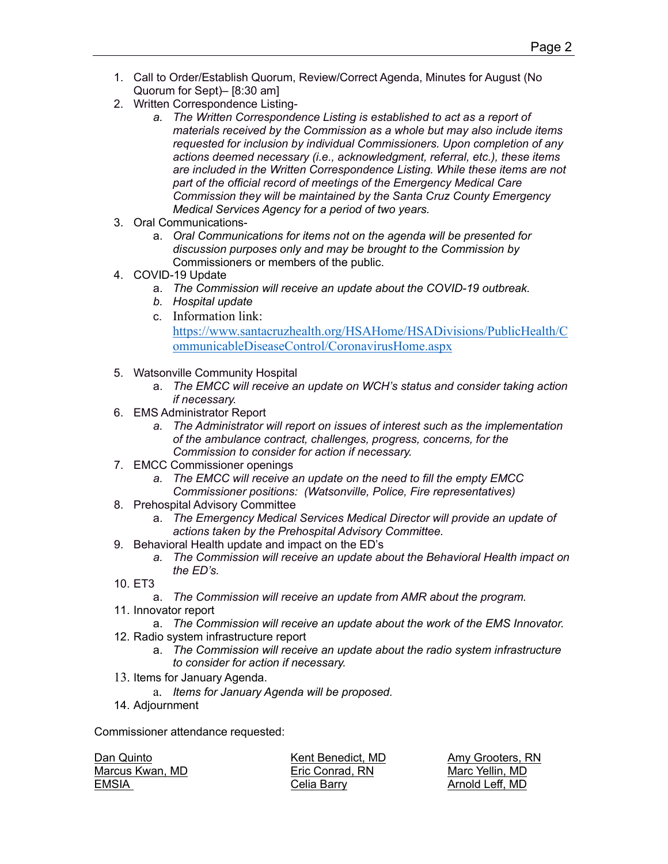- 1. Call to Order/Establish Quorum, Review/Correct Agenda, Minutes for August (No Quorum for Sept)– [8:30 am]
- 2. Written Correspondence Listing
	- *a. The Written Correspondence Listing is established to act as a report of materials received by the Commission as a whole but may also include items requested for inclusion by individual Commissioners. Upon completion of any actions deemed necessary (i.e., acknowledgment, referral, etc.), these items are included in the Written Correspondence Listing. While these items are not part of the official record of meetings of the Emergency Medical Care Commission they will be maintained by the Santa Cruz County Emergency Medical Services Agency for a period of two years.*
- 3. Oral Communications
	- a. *Oral Communications for items not on the agenda will be presented for discussion purposes only and may be brought to the Commission by*  Commissioners or members of the public.
- 4. COVID-19 Update
	- a. *The Commission will receive an update about the COVID-19 outbreak.*
	- *b. Hospital update*
	- c. Information link: [https://www.santacruzhealth.org/HSAHome/HSADivisions/PublicHealth/C](https://www.santacruzhealth.org/HSAHome/HSADivisions/PublicHealth/CommunicableDiseaseControl/CoronavirusHome.aspx) [ommunicableDiseaseControl/CoronavirusHome.aspx](https://www.santacruzhealth.org/HSAHome/HSADivisions/PublicHealth/CommunicableDiseaseControl/CoronavirusHome.aspx)
- 5. Watsonville Community Hospital
	- a. *The EMCC will receive an update on WCH's status and consider taking action if necessary.*
- 6. EMS Administrator Report
	- *a. The Administrator will report on issues of interest such as the implementation of the ambulance contract, challenges, progress, concerns, for the Commission to consider for action if necessary.*
- 7. EMCC Commissioner openings
	- *a. The EMCC will receive an update on the need to fill the empty EMCC Commissioner positions: (Watsonville, Police, Fire representatives)*
- 8. Prehospital Advisory Committee
	- a. *The Emergency Medical Services Medical Director will provide an update of actions taken by the Prehospital Advisory Committee.*
- 9. Behavioral Health update and impact on the ED's
	- *a. The Commission will receive an update about the Behavioral Health impact on the ED's.*
- 10. ET3
	- a. *The Commission will receive an update from AMR about the program.*
- 11. Innovator report
	- a. *The Commission will receive an update about the work of the EMS Innovator.*
- 12. Radio system infrastructure report
	- a. *The Commission will receive an update about the radio system infrastructure to consider for action if necessary.*
- 13. Items for January Agenda.
	- a. *Items for January Agenda will be proposed.*
- 14. Adjournment

Commissioner attendance requested:

| Dan Quinto      | Kent Benedict. MD | Amy Grooters, I |
|-----------------|-------------------|-----------------|
| Marcus Kwan, MD | Eric Conrad. RN   | Marc Yellin, MD |
| EMSIA           | Celia Barry       | Arnold Leff, MD |

Grooters, RN d Leff, MD